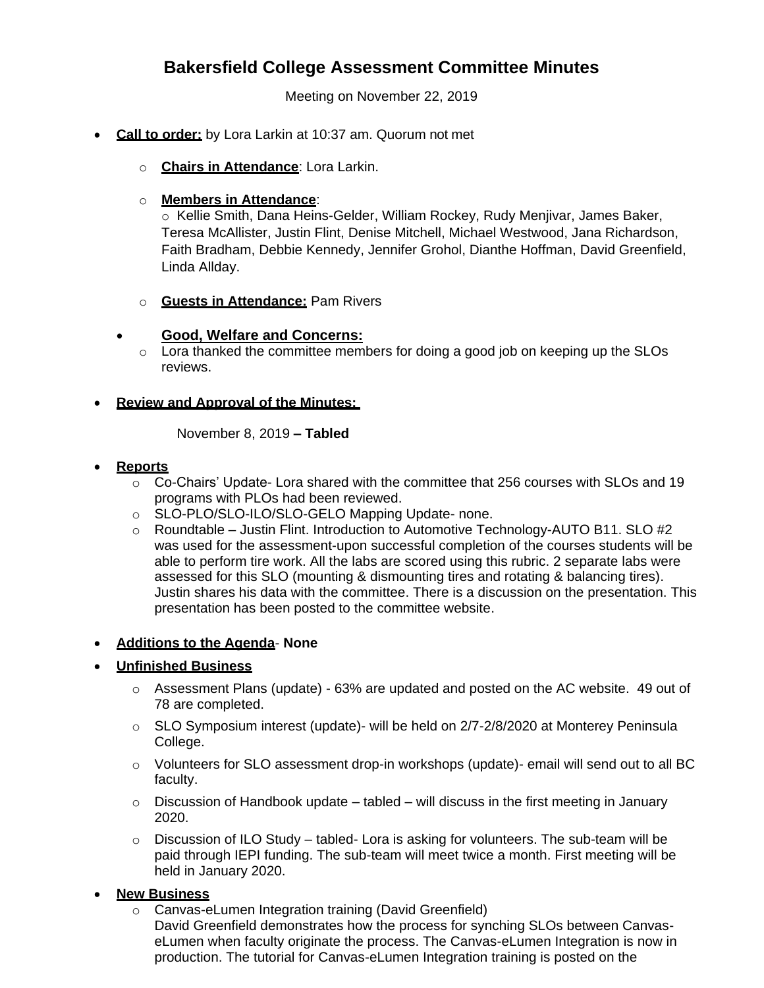# **Bakersfield College Assessment Committee Minutes**

Meeting on November 22, 2019

- **Call to order:** by Lora Larkin at 10:37 am. Quorum not met
	- o **Chairs in Attendance**: Lora Larkin.

## o **Members in Attendance**:

o Kellie Smith, Dana Heins-Gelder, William Rockey, Rudy Menjivar, James Baker, Teresa McAllister, Justin Flint, Denise Mitchell, Michael Westwood, Jana Richardson, Faith Bradham, Debbie Kennedy, Jennifer Grohol, Dianthe Hoffman, David Greenfield, Linda Allday.

o **Guests in Attendance:** Pam Rivers

## **Good, Welfare and Concerns:**

o Lora thanked the committee members for doing a good job on keeping up the SLOs reviews.

## **Review and Approval of the Minutes:**

November 8, 2019 **– Tabled**

#### **Reports**

- $\circ$  Co-Chairs' Update- Lora shared with the committee that 256 courses with SLOs and 19 programs with PLOs had been reviewed.
- o SLO-PLO/SLO-ILO/SLO-GELO Mapping Update- none.
- o Roundtable Justin Flint. Introduction to Automotive Technology-AUTO B11. SLO #2 was used for the assessment-upon successful completion of the courses students will be able to perform tire work. All the labs are scored using this rubric. 2 separate labs were assessed for this SLO (mounting & dismounting tires and rotating & balancing tires). Justin shares his data with the committee. There is a discussion on the presentation. This presentation has been posted to the committee website.

#### **Additions to the Agenda**- **None**

# **Unfinished Business**

- $\circ$  Assessment Plans (update) 63% are updated and posted on the AC website. 49 out of 78 are completed.
- o SLO Symposium interest (update)- will be held on 2/7-2/8/2020 at Monterey Peninsula College.
- $\circ$  Volunteers for SLO assessment drop-in workshops (update)- email will send out to all BC faculty.
- $\circ$  Discussion of Handbook update tabled will discuss in the first meeting in January 2020.
- $\circ$  Discussion of ILO Study tabled- Lora is asking for volunteers. The sub-team will be paid through IEPI funding. The sub-team will meet twice a month. First meeting will be held in January 2020.

#### **New Business**

o Canvas-eLumen Integration training (David Greenfield) David Greenfield demonstrates how the process for synching SLOs between CanvaseLumen when faculty originate the process. The Canvas-eLumen Integration is now in production. The tutorial for Canvas-eLumen Integration training is posted on the